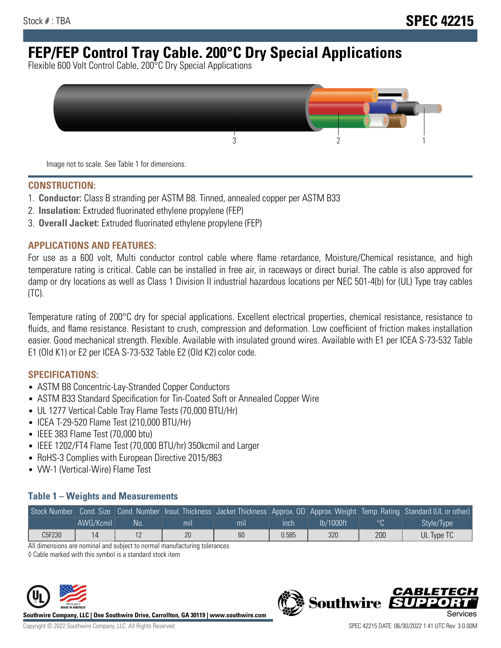# **FEP/FEP Control Tray Cable. 200°C Dry Special Applications**

Flexible 600 Volt Control Cable, 200°C Dry Special Applications



Image not to scale. See Table 1 for dimensions.

#### **CONSTRUCTION:**

- 1. **Conductor:** Class B stranding per ASTM B8. Tinned, annealed copper per ASTM B33
- 2. **Insulation:** Extruded fluorinated ethylene propylene (FEP)
- 3. **Overall Jacket:** Extruded fluorinated ethylene propylene (FEP)

#### **APPLICATIONS AND FEATURES:**

For use as a 600 volt, Multi conductor control cable where flame retardance, Moisture/Chemical resistance, and high temperature rating is critical. Cable can be installed in free air, in raceways or direct burial. The cable is also approved for damp or dry locations as well as Class 1 Division II industrial hazardous locations per NEC 501-4(b) for (UL) Type tray cables (TC).

Temperature rating of 200°C dry for special applications. Excellent electrical properties, chemical resistance, resistance to fluids, and flame resistance. Resistant to crush, compression and deformation. Low coefficient of friction makes installation easier. Good mechanical strength. Flexible. Available with insulated ground wires. Available with E1 per ICEA S-73-532 Table E1 (Old K1) or E2 per ICEA S-73-532 Table E2 (Old K2) color code.

#### **SPECIFICATIONS:**

- ASTM B8 Concentric-Lay-Stranded Copper Conductors
- ASTM B33 Standard Specification for Tin-Coated Soft or Annealed Copper Wire
- UL 1277 Vertical Cable Tray Flame Tests (70,000 BTU/Hr)
- ICEA T-29-520 Flame Test (210,000 BTU/Hr)
- IEEE 383 Flame Test (70,000 btu)
- IEEE 1202/FT4 Flame Test (70,000 BTU/hr) 350kcmil and Larger
- RoHS-3 Complies with European Directive 2015/863
- VW-1 (Vertical-Wire) Flame Test

### **Table 1 – Weights and Measurements**

|        |           |     |     |     |       |           |     | Stock Number Cond. Size Cond. Number Insul. Thickness Jacket Thickness Approx. OD Approx. Weight Temp. Rating Standard (UL or other) |
|--------|-----------|-----|-----|-----|-------|-----------|-----|--------------------------------------------------------------------------------------------------------------------------------------|
|        | AWG/Kcmil | .No | mıl | mıl | ınch  | lb/1000ft | ٥٢  | Style/Type                                                                                                                           |
| C5F230 |           |     | 20  | 60  | 0.585 | 320       | 200 | UL Type TC                                                                                                                           |

All dimensions are nominal and subject to normal manufacturing tolerances

◊ Cable marked with this symbol is a standard stock item



**Southwire Company, LLC | One Southwire Drive, Carrollton, GA 30119 | www.southwire.com**